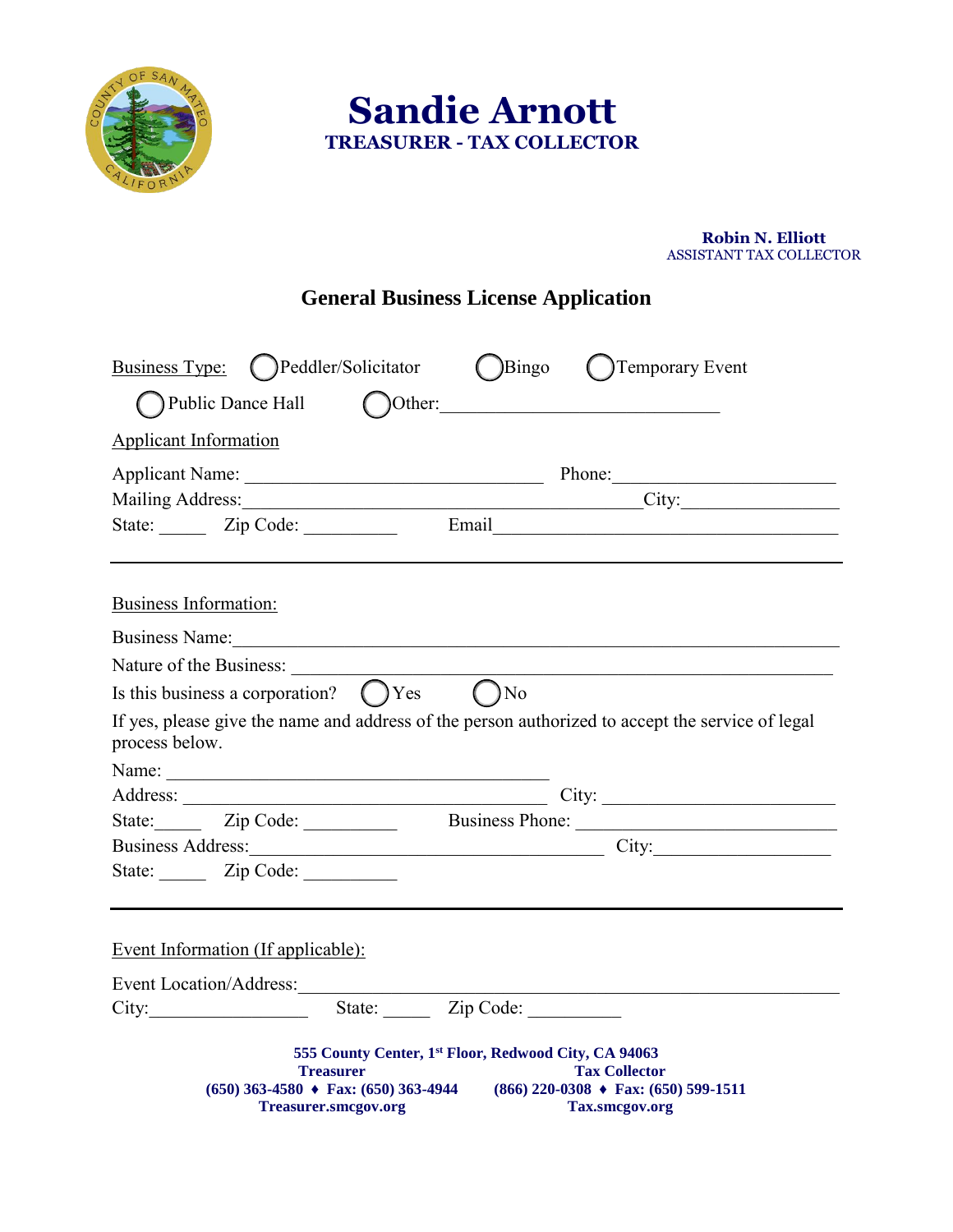

 **Sandie Arnott TREASURER - TAX COLLECTOR**

## **Robin N. Elliott** ASSISTANT TAX COLLECTOR

## **General Business License Application**

| Business Type: (Deddler/Solicitator<br>Public Dance Hall<br>Other: | Bingo<br>(Demporary Event                                                                                                                                                                         |
|--------------------------------------------------------------------|---------------------------------------------------------------------------------------------------------------------------------------------------------------------------------------------------|
| <b>Applicant Information</b>                                       |                                                                                                                                                                                                   |
|                                                                    |                                                                                                                                                                                                   |
|                                                                    |                                                                                                                                                                                                   |
|                                                                    | Mailing Address: City: City:                                                                                                                                                                      |
| State: Zip Code:                                                   |                                                                                                                                                                                                   |
| Business Information:                                              |                                                                                                                                                                                                   |
| Business Name:                                                     |                                                                                                                                                                                                   |
| Nature of the Business:                                            |                                                                                                                                                                                                   |
| Is this business a corporation? $\bigcap$ Yes $\bigcap$ No         |                                                                                                                                                                                                   |
| process below.                                                     | If yes, please give the name and address of the person authorized to accept the service of legal                                                                                                  |
| Name:                                                              |                                                                                                                                                                                                   |
|                                                                    |                                                                                                                                                                                                   |
|                                                                    | State: Zip Code: Business Phone:                                                                                                                                                                  |
|                                                                    | Business Address: City: City:                                                                                                                                                                     |
| State: Zip Code:                                                   |                                                                                                                                                                                                   |
| <b>Event Information (If applicable):</b>                          |                                                                                                                                                                                                   |
|                                                                    |                                                                                                                                                                                                   |
| City: State: Zip Code:                                             |                                                                                                                                                                                                   |
| <b>Treasurer</b><br><b>Treasurer.smcgov.org</b>                    | 555 County Center, 1st Floor, Redwood City, CA 94063<br><b>Tax Collector</b><br>$(650)$ 363-4580 $\triangle$ Fax: (650) 363-4944 (866) 220-0308 $\triangle$ Fax: (650) 599-1511<br>Tax.smcgov.org |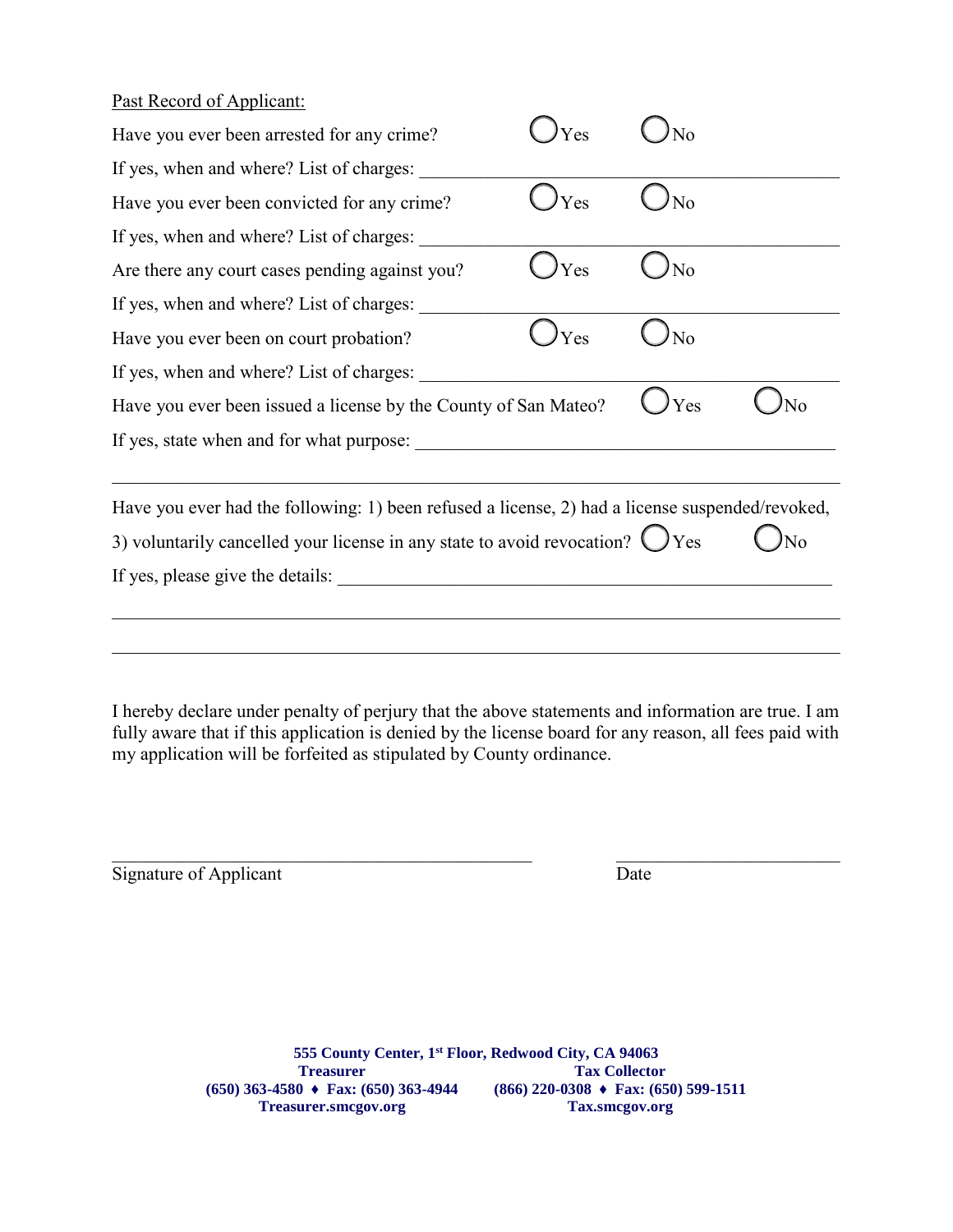## Past Record of Applicant:

| Have you ever been arrested for any crime?                                                                                                                                                | Yes |     |    |
|-------------------------------------------------------------------------------------------------------------------------------------------------------------------------------------------|-----|-----|----|
| If yes, when and where? List of charges:                                                                                                                                                  |     |     |    |
| Have you ever been convicted for any crime?                                                                                                                                               | Yes | No  |    |
| If yes, when and where? List of charges:                                                                                                                                                  |     |     |    |
| Are there any court cases pending against you?                                                                                                                                            | Yes | No  |    |
| If yes, when and where? List of charges:                                                                                                                                                  |     |     |    |
| Have you ever been on court probation?                                                                                                                                                    | Yes | No  |    |
| If yes, when and where? List of charges:                                                                                                                                                  |     |     |    |
| Have you ever been issued a license by the County of San Mateo?                                                                                                                           |     | Yes | No |
|                                                                                                                                                                                           |     |     |    |
| Have you ever had the following: 1) been refused a license, 2) had a license suspended/revoked,<br>3) voluntarily cancelled your license in any state to avoid revocation? $\bigcirc$ Yes |     |     |    |
|                                                                                                                                                                                           |     |     |    |
|                                                                                                                                                                                           |     |     |    |
|                                                                                                                                                                                           |     |     |    |
|                                                                                                                                                                                           |     |     |    |

I hereby declare under penalty of perjury that the above statements and information are true. I am fully aware that if this application is denied by the license board for any reason, all fees paid with my application will be forfeited as stipulated by County ordinance.

 $\mathcal{L}_\text{max}$  , and the contribution of the contribution of the contribution of the contribution of the contribution of the contribution of the contribution of the contribution of the contribution of the contribution of t

| Signature of Applicant | Date |
|------------------------|------|
|                        |      |

**555 County Center, 1st Floor, Redwood City, CA 94063 Treasurer (650) 363-4580 ♦ Fax: (650) 363-4944 Treasurer.smcgov.org Tax Collector (866) 220-0308 ♦ Fax: (650) 599-1511 Tax.smcgov.org**